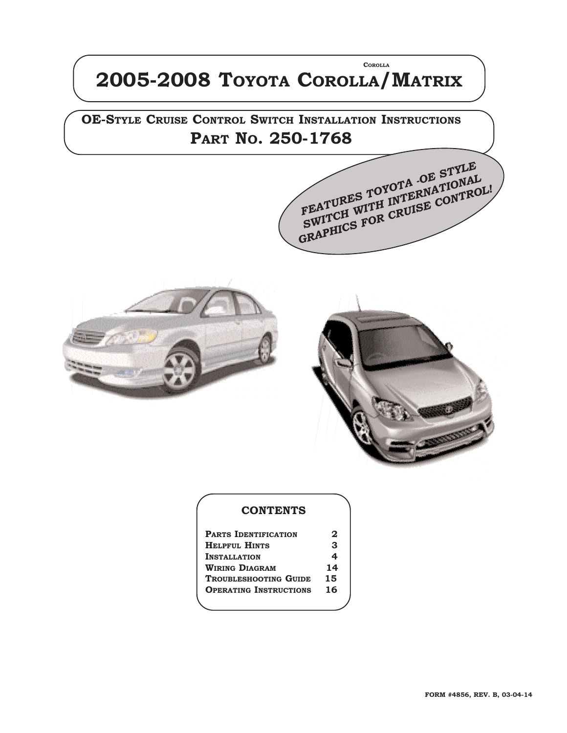## **2005-2008 TOYOTA COROLLA/MATRIX COROLLA**

**OE-STYLE CRUISE CONTROL SWITCH INSTALLATION INSTRUCTIONS PART NO. 250-1768** 

*FEATURES TOYOTA -OE STYLE* **SWITCH WITH INTERNATIONAL GRAPHICS FOR CRUISE CONTROL!** 





#### **CONTENTS**

| <b>PARTS IDENTIFICATION</b>   | 2  |
|-------------------------------|----|
| <b>HELPFUL HINTS</b>          | З  |
| <b>INSTALLATION</b>           | 4  |
| <b>WIRING DIAGRAM</b>         | 14 |
| <b>TROUBLESHOOTING GUIDE</b>  | 15 |
| <b>OPERATING INSTRUCTIONS</b> | 16 |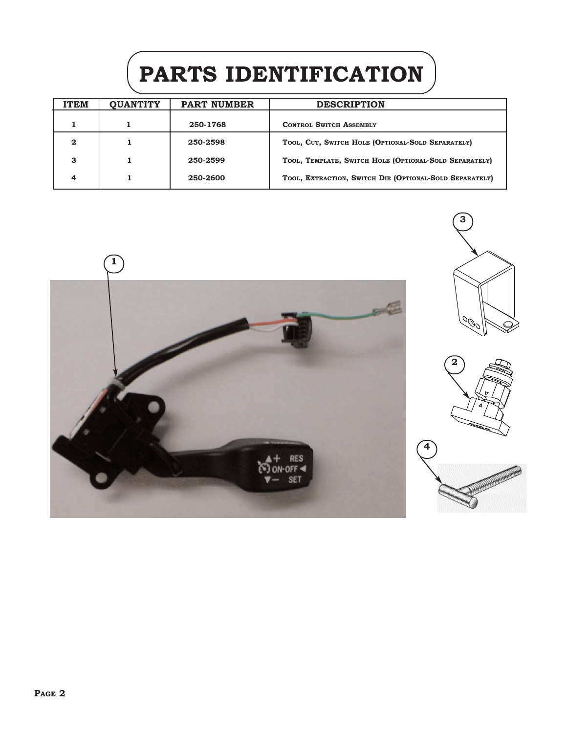# **PARTS IDENTIFICATION**

| <b>ITEM</b>  | <b>QUANTITY</b> | <b>PART NUMBER</b> | <b>DESCRIPTION</b>                                      |
|--------------|-----------------|--------------------|---------------------------------------------------------|
|              |                 | 250-1768           | <b>CONTROL SWITCH ASSEMBLY</b>                          |
| $\mathbf{2}$ |                 | 250-2598           | TOOL, CUT, SWITCH HOLE (OPTIONAL-SOLD SEPARATELY)       |
| з            |                 | 250-2599           | TOOL, TEMPLATE, SWITCH HOLE (OPTIONAL-SOLD SEPARATELY)  |
| 4            |                 | 250-2600           | TOOL, EXTRACTION, SWITCH DIE (OPTIONAL-SOLD SEPARATELY) |

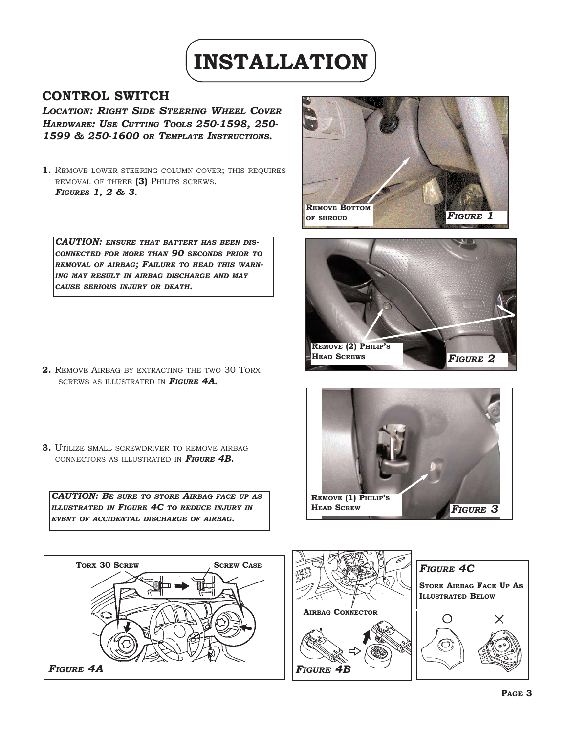

### **CONTROL SWITCH**

*LOCATION: RIGHT SIDE STEERING WHEEL COVER HARDWARE: USE CUTTING TOOLS 250-1598, 250- 1599 & 250-1600 OR TEMPLATE INSTRUCTIONS.*

**1.** REMOVE LOWER STEERING COLUMN COVER; THIS REQUIRES REMOVAL OF THREE **(3)** PHILIPS SCREWS. *FIGURES 1, 2 & 3.*

*CAUTION: ENSURE THAT BATTERY HAS BEEN DIS-CONNECTED FOR MORE THAN 90 SECONDS PRIOR TO REMOVAL OF AIRBAG; FAILURE TO HEAD THIS WARN-ING MAY RESULT IN AIRBAG DISCHARGE AND MAY CAUSE SERIOUS INJURY OR DEATH.*

- **2.** REMOVE AIRBAG BY EXTRACTING THE TWO 30 TORX SCREWS AS ILLUSTRATED IN *FIGURE 4A.*
- **3.** UTILIZE SMALL SCREWDRIVER TO REMOVE AIRBAG CONNECTORS AS ILLUSTRATED IN *FIGURE 4B.*

*CAUTION: BE SURE TO STORE AIRBAG FACE UP AS ILLUSTRATED IN FIGURE 4C TO REDUCE INJURY IN EVENT OF ACCIDENTAL DISCHARGE OF AIRBAG.*









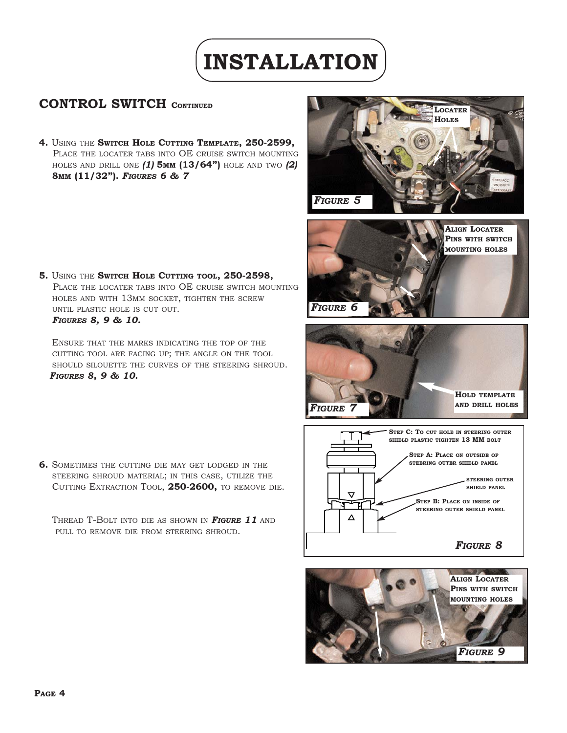# **INSTALLATION**

## **CONTROL SWITCH CONTINUED**

**4.** USING THE **SWITCH HOLE CUTTING TEMPLATE, 250-2599,** PLACE THE LOCATER TABS INTO OE CRUISE SWITCH MOUNTING HOLES AND DRILL ONE *(1)* **5MM (13/64")** HOLE AND TWO *(2)* **8MM (11/32").** *FIGURES 6 & 7*





**5.** USING THE **SWITCH HOLE CUTTING TOOL, 250-2598,**  PLACE THE LOCATER TABS INTO OE CRUISE SWITCH MOUNTING HOLES AND WITH 13MM SOCKET, TIGHTEN THE SCREW UNTIL PLASTIC HOLE IS CUT OUT. *FIGURES 8, 9 & 10.*

ENSURE THAT THE MARKS INDICATING THE TOP OF THE CUTTING TOOL ARE FACING UP; THE ANGLE ON THE TOOL SHOULD SILOUETTE THE CURVES OF THE STEERING SHROUD. *FIGURES 8, 9 & 10.*

**6.** SOMETIMES THE CUTTING DIE MAY GET LODGED IN THE STEERING SHROUD MATERIAL; IN THIS CASE, UTILIZE THE CUTTING EXTRACTION TOOL, **250-2600,** TO REMOVE DIE.

THREAD T-BOLT INTO DIE AS SHOWN IN *FIGURE 11* AND PULL TO REMOVE DIE FROM STEERING SHROUD.





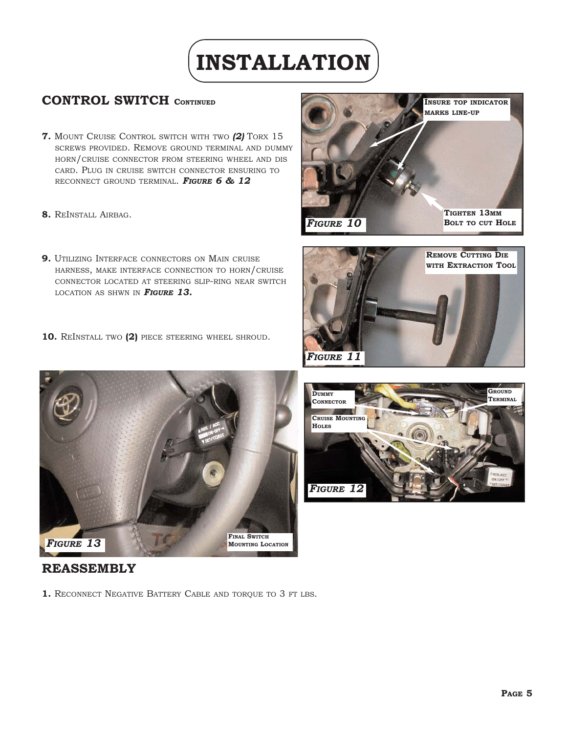# **INSTALLATION**

## **CONTROL SWITCH CONTINUED**

- **7.** MOUNT CRUISE CONTROL SWITCH WITH TWO *(2)* TORX 15 SCREWS PROVIDED. REMOVE GROUND TERMINAL AND DUMMY HORN/CRUISE CONNECTOR FROM STEERING WHEEL AND DIS CARD. PLUG IN CRUISE SWITCH CONNECTOR ENSURING TO RECONNECT GROUND TERMINAL. *FIGURE 6 & 12*
- **8.** REINSTALL AIRBAG.
- **9.** UTILIZING INTERFACE CONNECTORS ON MAIN CRUISE HARNESS, MAKE INTERFACE CONNECTION TO HORN/CRUISE CONNECTOR LOCATED AT STEERING SLIP-RING NEAR SWITCH LOCATION AS SHWN IN *FIGURE 13.*
- **10.** REINSTALL TWO **(2)** PIECE STEERING WHEEL SHROUD.









### **REASSEMBLY**

1. RECONNECT NEGATIVE BATTERY CABLE AND TORQUE TO 3 FT LBS.